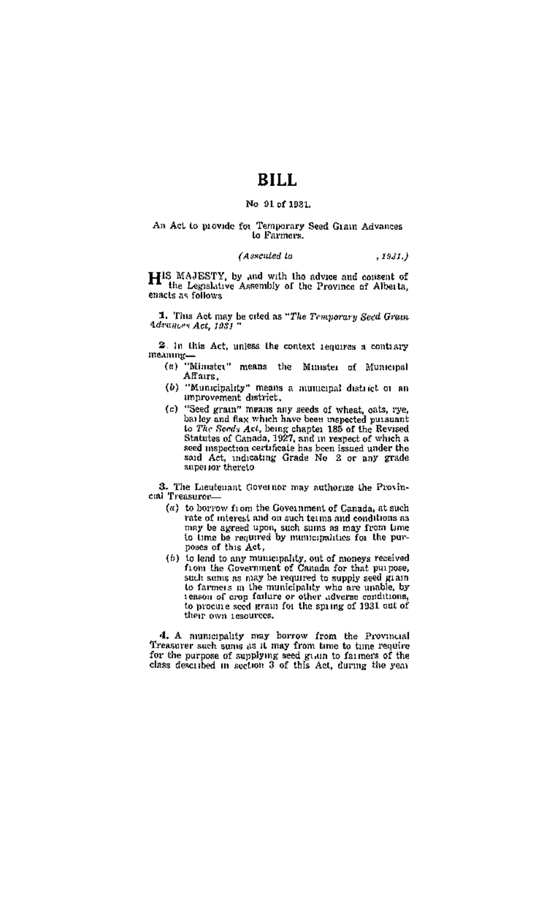# BILL.

## No 91 of 1931.

#### An Act to provide for Temporary Seed Grain Advances to Farmers.

#### CAssented to  $, 1931.$

HIS MAJESTY, by and with the advice and content of the Legislative Assembly of the Province of Alberta, enacts as follows

1. This Act may be ofted as "The Temporary Seed Gross. Advance Act. 1981

2. In this Act, unless the context requires a contrary meaning-

- (a) "Minutes" means the Minutes of Municipal Affairs.
- (b) "Municipality" means a numicipal district or an improvement district.
- (c) "Seed grain" means any seeds of wheat, eats, rye,<br>bailey and flax which have been impected pursuant Le The Seedy Act, being chapter 189 of the Revised<br>Statutes of Canada, 1927, and in respect of which a seed mepsection certificate has been issued under the said Act, indicating Grade No 2 or any grade

3. The Lacutemant Governor may authorize the Provincal Treasurer

- (a) to borrow from the Government of Canada, at such value of interest and on such terms and conditions as may be agreed upon, such sums as may from time to time be required by numicipalities for the purposes of this Act.
- (b) to lead to any municipality, out of moneys received<br>from the Government of Canada for that purpose, such actual constructions of contains for cast purposes.<br>Such actuals as half be required to supply seed grain<br>to farmers in the municipality who are unable, by<br>reason of cropy failure or other adverse conditions,<br>to proci their own resources.

4. A numerality may borrow from the Provincial Treasurer such some as it may from time to time require<br>for the purpose of supplying seed givin to failure? of the<br>class described in section 3 of this Act, during the year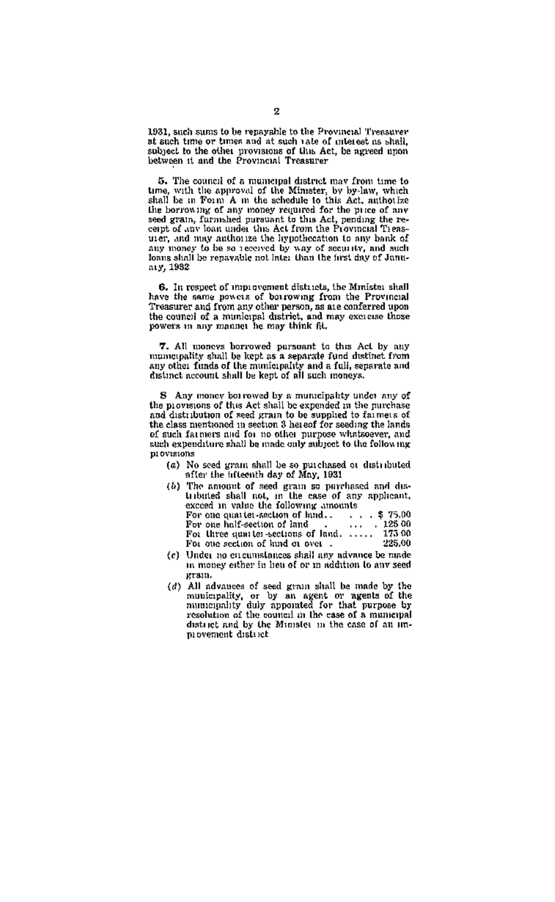1931, such sums to be repayable to the Provincial Treasurer at such time or times and at such rate of interest as shall. subject to the other provisions of this Act, be agreed upon

5. The council of a municipal district may from time to so, trae coutest or a numeripal district may remit the to any other the spin of the Minister, by by-law, which shall be an Poun A m the schedule to this Act, authorizes the the berrowing of any money required for the pure there are no matter the hypotheration to any bank of<br>any money to be so received by way of security, and such loans shall be repayable not later than the first day of Januaty, 1982

6. In respect of map avenuent distracts, the Munister shall have the same powers of borrowing from the Provincial Treasurer and from any other person, as are conferred upon the council of a municipal district, and may excite those<br>powers in any manitet he may think fit.

7. All moneys borrowed pursuant to this Act by any mumerpality shall be kept as a separate fund distinct from any other funds of the municipality and a full, separate and any other funds of the municipality and a full, separate and

S Any money bot rowed by a munteipality utidet any of<br>the movement of this Act shall be expended in the mirchase and distribution of seed grain to be supplied to farmers of the class mentioned in section 3 hereof for seeding the lands of such farmers and for no other purpose whatsoever, and<br>of such farmers and for no other purpose whatsoever, and<br>such expenditure shall be made only subject to the following **BI OVISIONS** 

(a) No seed gram shall be so purchased or distributed<br>n Mier the inteenth day of May, 1931

|  | (b) The amount of seed grain so purchased and du-     |
|--|-------------------------------------------------------|
|  | tributed shall not, in the case of any applicant,     |
|  | exceed in value the following amounts                 |
|  | For one quarter-section of httd \$ 75.00              |
|  | .125.00<br>For one half-section of land .<br>$\cdots$ |
|  | For three quarter-sections of land, , 173 00          |
|  | 225.00<br>For one section of kind or over.            |
|  | the control of the control of the con-                |

- (c) Under no in money either in heu of or m addition to any seed gram.
- (d) All advances of seed grain shall be made by the municipality, or by an agent or agents of the municipality duly appointed for that purpose by reachution of the council in the case of a municipal district and by the Minister in the case of a municipal<br>district and by the Minister in the case of an im-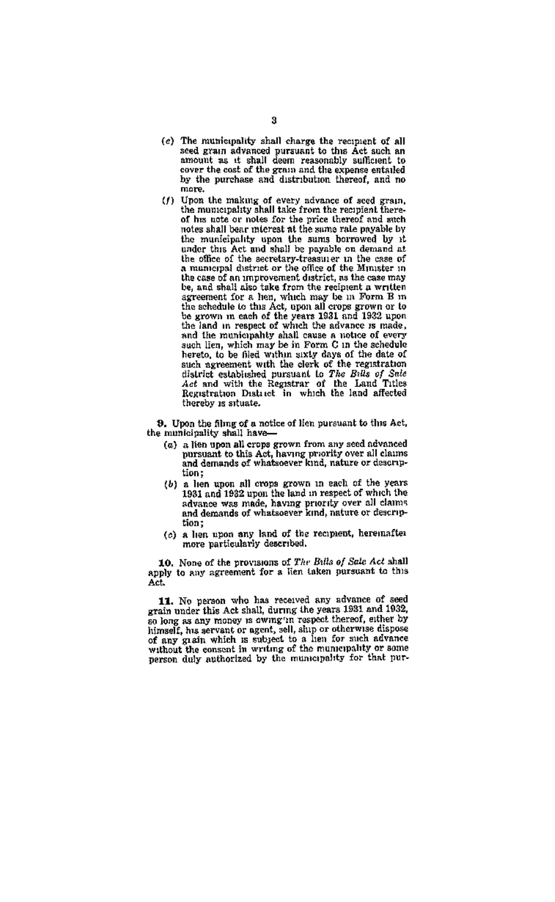- (c) The municipality shall charge the recipient of all seed grain advanced pursuant to this Act such an amount as it shall deem reasonably sufficient to cover the cost of the gram and the expense entailed<br>by the nurchase and distribution thereof and no more.
- $(f)$  Upon the making of every nevance of seed grain, the municipality shall take from the recipient thereof his note or notes for the price thereof and such notes shall bear micreat at the sums rate pavable by the municipality upon the sums borrowed by it under this Act and shall be payable on demand at the office of the secretary-treasurer in the case of a municipal district or the office of the Minister in the case of an unprovement district, as the case may be, and shall also take from the recipient a written expressions from the case and the schedule of the schedule to this Act, upon all crops grown or to be grown in starts of the schedule of the years 1931 and 1932 upon the case of the years 1931 and 1932 upon the sales. are range in respect of writer the anywhere is made,<br>and the municipality shall cause a notice of every<br>such lien, which may be in Form G in the schedule hereto, to be filed within sixty days of the date of such syptement with the clerk of the registration district established pursuant to The Bills of Sele<br>def and with the Registrar of the Land Titles<br>Registration District in which the land affected thereby is situate.

9. Upon the filmg of a notice of lien pursuant to this Act, the municipality shall have-

- (a) a list open all crops grown from any seed nevanced<br>pursuant to this Act, having priority over all claims<br>and demands of whatsoever kind, nature or description:
- (b) a hen upon all erops grown in each of the years<br>1981 and 1932 upon the land in respect of which the<br>advance was made, having priority over all claims<br>and demands of whatsoever kind, nature or description;
- (c) a lien upon any land of the recipient, hereinafter more particularly described.

10. None of the provisions of The Bills of Sale Act shall and come of the provisions of The Bills of Sale Act shall<br>apply to any agreement for a lien taken pursuant to this<br>Act.

11. No person who has received any advance of seed grain under this Act shall, during the years 1931 and 1932, so long as any money is owing in respect thereof, either by<br>himself, his servant or agent, sell, ship or otherwise dispose numeri, me servant or agent, sen, sany or outerwise taspess<br>of any gradu which is subject to a len for such advance<br>without the consent in writing of the municipality or some<br>person duly anthorized by the municipality for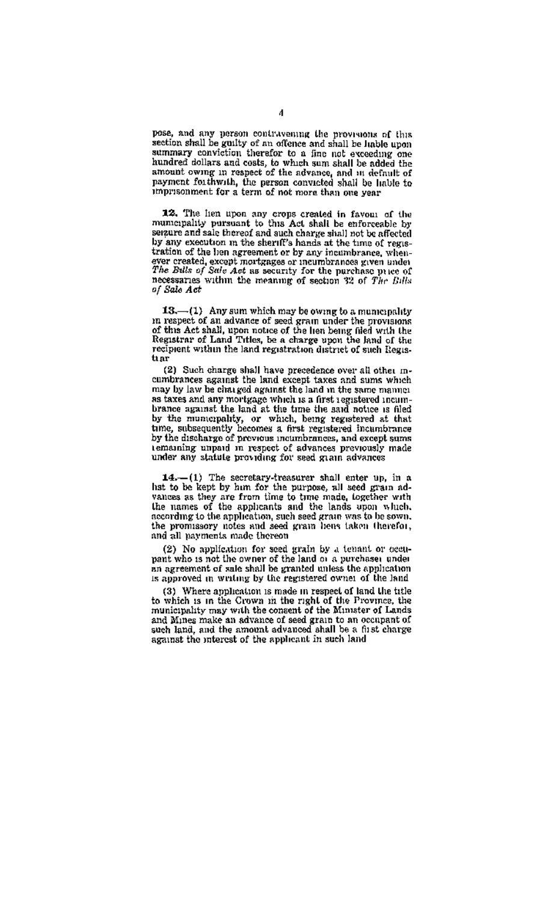pose, and any person contravening the provisions of this section shall be guilty of an offence and shall be liable upon summary conviction therefor to a fine not exceeding one hundred dollars and costs, to which sum shall be added the numera nouse and costs, to which sam share a nouse the announce and the propert of the network and it definite of psyment for the person convicted shall be lable to impresonment for a term of not more than one year.

12. The hen upon any crops created in favour of the<br>mumeriality pursuant to this Act shall be enforceable by<br>senzure and sale thereof and such charge shall not be affected sensure and said moreon and such charge study are to coverted tration of the hen agreement or by any incumbrance, whenever created, except mortgages ar incumbrances given under<br>The Balls of Sale Aet as security for the purchase price of<br>necessaries within the meaning of section 32 of The Bills of Sale Act

13.-(1) Any sum which may be owing to a municipality in respect of an advance of seed gram under the provisions<br>of this Act shall, upon notice of the lien being fied with the of units Act shaw, upon nouce or the near being near with the<br>Registrar of Land Triles, be a charge upon the lead of the<br>recipient within the land registration district of such Regis- $\overline{b}$ 

(2) Such charge shall have precedence over all other m-<br>cumbrances against the land except taxes and sums which may by law be charged against the land in the same manner as taxes and any mortgage which is a first registered incumbrance against the land at the time the said notice is filed by the municipality, or which, being registered at that time, subsequently becomes a first registered incambrance by the discharge of previous incumbrances, and except sums temaning unpaid in respect of advances previously made under any statute providing for seed giain advances

14.-(1) The secretary-treasurer shall enter up, in a hat to be kept by him for the purpose, all seed grain advances as they are from time to time made, logether with according to the application, such seed grain was to be sown. the promissory notes and seed grain bens taken therefor. and all navments made thereor

(2) No application for seed grain by a tenant or occunant who is not the owner of the land oi a purchase under pant who is not the owner of the rang or a partment were<br>an agreement of sale shall be granted unless the application is approved in writing by the registered owner of the land

(3) Where application is made in respect of land the title<br>to which is in the Grown in the right of the Province, the municipality may with the consent of the Minister of Lands and Mines make an advance of seed grain to an occupant of such land, and the amount advanced shall be a first charge against the interest of the applicant in such land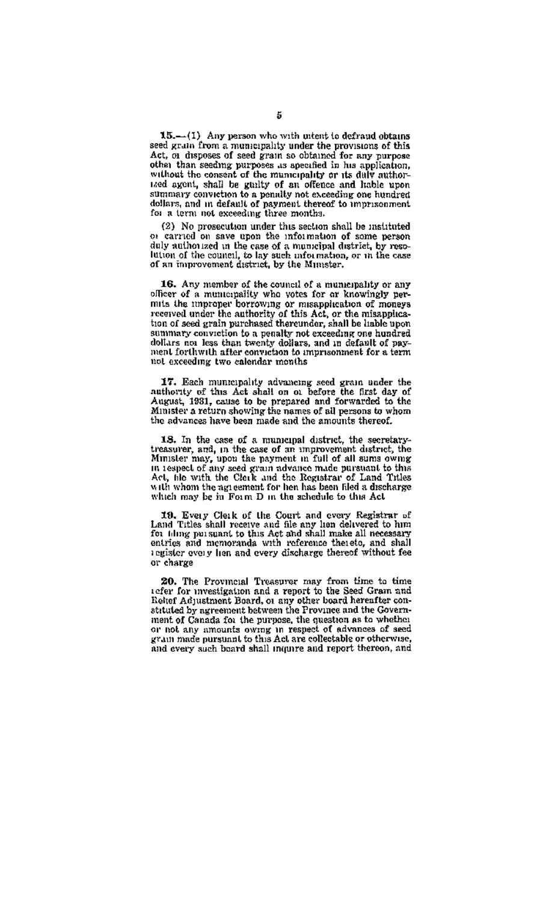15.-(1) Any person who with untent to defraud obt seed grains from a municipality under the provisions of this<br>Act, or disposes of seed grain so obtained for any nurnose Act, or this possible is even grain as comment for any purpose<br>other than seading purposes as appealed in his application,<br>without the consent of the municipality or its daly author-<br>ited agent, shall be guilty of an offen see agent, small be guitty of an otence and habie upon<br>summary conviction to a penalty not exceeding one hundred<br>dollars, and in default of payment thereof to imprisonment<br>for a term not exceeding three months.

(2) No prosecution under this section shall be instituted or carried on save good the information of some person duly authorized in the case of a municipal district, by resonery sumerized in the case of a municipal district, by reso-<br>Fution of the council, to lay such information, or in the case<br>of an improvement district, by the Minister,

16. Any member of the council of a municipality or any officer of a municipality who yotes for ar knowingly peronce or a meroper borrowing or meappication of moneys tion of seed crain purchased thereupder, shall be inhie upon summary convertion to a penalty not exceeding one hundred<br>dollars not less than twenty dollars, and in default of payment forthwith after conviction to imprisonment for a term not exceeding two calendar months

17. Each municipality advancing seed grain under the authority of this Act shall on  $\omega$  before the first day of August, 1931, cause to be prepared and forwarded to the<br>Minister a return showing the names of all persons to whom the advances have been made and the amounts thereof.

18. In the case of a municipal district, the secretary-<br>treasurer, and, in the case of an improvement district, the<br>Minister may, upon the payment in full of all sums ownig entitive transport of any seed gravitations made paramet to this in teapect of any seed gravitations made paramet to this Act, his with the Check and the Registrar of Land Titles with whom the agreement for her has been fi which may be in Form D in the schedule to this Act

19. Every Clerk of the Court and overy Registrar of Land Titles shall receive and file any hon delivered to him for thing persuant to this Act and shall make all necessary entries and memorands with reference thereto, and shall register overy from and every discharge thereof without fee or charge

20. The Provincial Treasurer may from time to time<br>sefer for investigation and a report to the Seed Gram and<br>Retef Adjustment Board, of any other board hereafter constituted by agreement between the Province and the Government of Canada for the purpose, the question as to whether or not any amounts owing in respect of advances of seed and every such board shall inquire and report thereon, and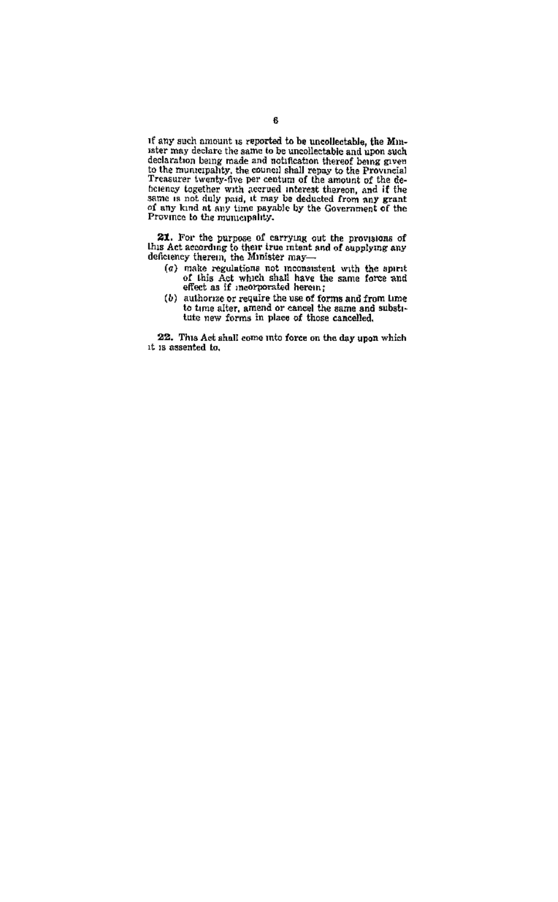if any such amount is reported to be uncollectable, the Minister may declare the same to be uncollectable and upon such nter may declare the same to be uncollectable and upon such the<br>dedication bing made and solutional thereof being given<br>to the munerality, the extensi shall respay to the Provincial<br>Treasurer twenty-free per centum of the

**21.** For the purpose of carrying out the provisions of this Act according to their true mient and of supplying any deficiency therein, the Minister may-

- $(a)$  make regulations not monaratent with the spirit of this Act which shall have the same force and effect as if mearporated herein;
- (b) authorize or require the use of forms and from lime<br>to time after, amend or cancel the same and substitute new forms in place of those cancelled.

22. This Act shall come into force on the day upon which it is assented to.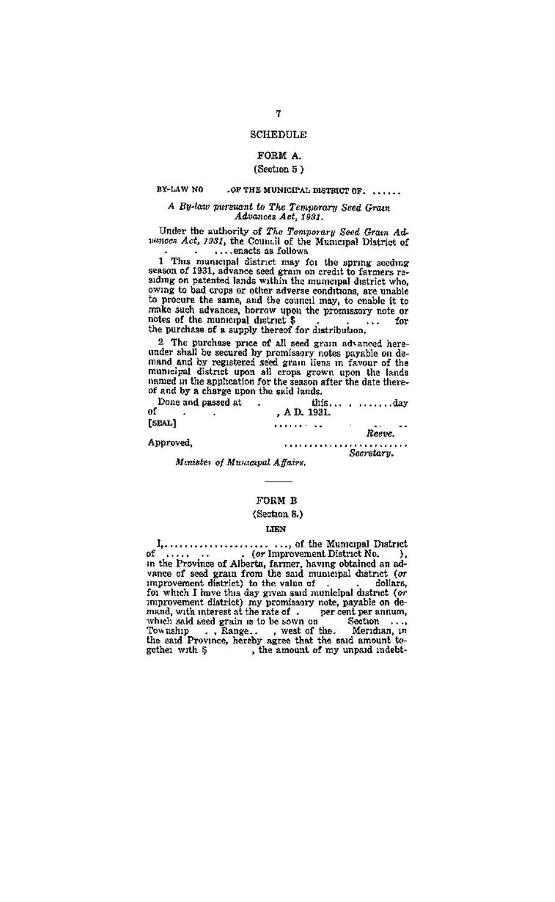## SCURDED V

#### **DODM A** (Section 5)

#### BY-LAW NO .OF THE MUNICIPAL DISTRICT OF ......

#### A Bu-law pursuant to The Temporary Seed Gram Advances Act. 1931.

Under the authority of The Temporary Seed Gram Adpances Act, 1931, the Council of the Municipal District of ... onacts on follows

1 This municipal district may for the spring seeding<br>scalan of 1981, advance seed grant on credit to farmers re-<br>scalar siding on patented lands within the municipal district who,<br>owing to bad crops or other adverse condit to procure the same, and the council may, to cnable it to make such advances, borrow upon the promissory note or notes of the municipal district \$<br>notes of the municipal district \$<br>the purchase of a supply thereof for distribution.  $\frac{1}{2}$ ÷. .

2 The purchase price of all seed grain advanced hereunder shall be secured by promissory notes payable on de-<br>mand and by registered seed grain liens in favour of the mand and oy registered seed grain lives in favour of the<br>municipal district upon all crops grown upon the lands<br>inning in the application for the season after the date there-<br>of and by a charge upon the said lands.

| Done and passed at<br>of | , A D. 1931. | that   |
|--------------------------|--------------|--------|
| [SEAL]                   |              | Reeme. |
| Annound.                 |              |        |

Secretary.

Mentster of Musicanal Affairs.

## FORM B

#### (Section 8.)

#### TYPH

 $\label{eq:1} \begin{array}{ll} \mathbf{p}_{1},\ldots,\mathbf{p}_{k},\ldots,\mathbf{p}_{k},\ldots,\mathbf{p}_{k},\ldots,\mathbf{p}_{k},\ldots,\mathbf{p}_{k},\ldots,\mathbf{p}_{k},\ldots,\mathbf{p}_{k},\ldots,\mathbf{p}_{k},\ldots,\mathbf{p}_{k},\ldots,\mathbf{p}_{k},\ldots,\mathbf{p}_{k},\ldots,\mathbf{p}_{k},\ldots,\mathbf{p}_{k},\ldots,\mathbf{p}_{k},\ldots,\mathbf{p}_{k},\ldots,\mathbf{p}_{k},\ldots,\mathbf{p}_{k},\ldots,\mathbf{p}_{k},$ .... of the Municipal District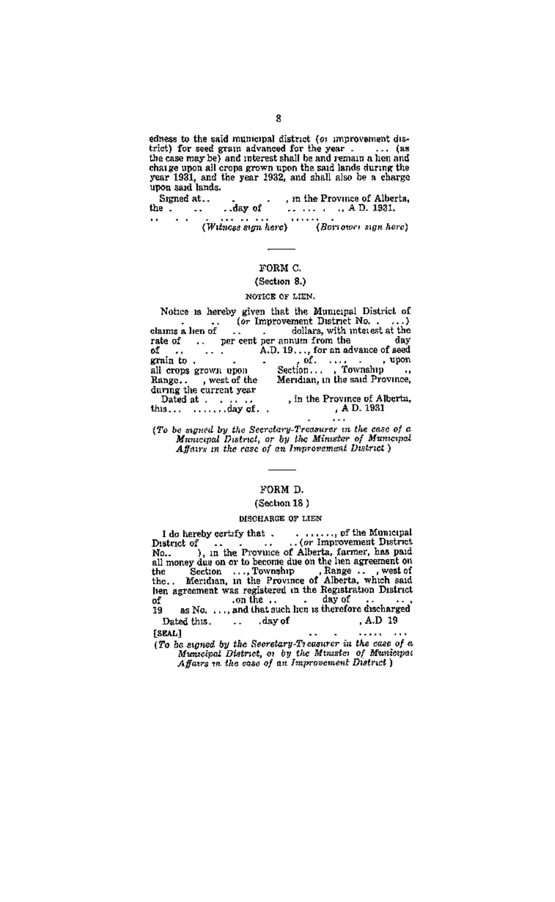edness to the said municipal district (or improvement disthe case of the same mannerships material to any contract the same that the same of the same of the same that the same shall he and remain a heat and we case may sey sum interest shall be and remain a lien and<br>charge upon all crops grown upon the said lands during the<br>year 1931, and the year 1932, and shall also be a charge<br>upon said lands.

 $\label{eq:1} \begin{tabular}{ll} \hline , \text{ any of} & \text{ } \\ \hline \end{tabular} \begin{tabular}{ll} \begin{tabular}{ll} \textbf{0} & \textbf{0} & \textbf{0} \\ \textbf{0} & \textbf{0} & \textbf{0} \\ \textbf{0} & \textbf{0} & \textbf{0} \\ \textbf{0} & \textbf{0} & \textbf{0} \\ \end{tabular} \end{tabular} \begin{tabular}{ll} \textbf{0} & \textbf{0} & \textbf{0} \\ \textbf{0} & \textbf{0} & \textbf{0} \\ \textbf{0} & \textbf{0} & \textbf{$ Signed at...  $\lim_{t\to\infty}\frac{\log n\cos\left(\frac{1}{2}\right)}{1+\frac{1}{2}}$ m . . . (Witness sign here) (Borrower sign here)

#### FORM C.

## (Section 8.)

#### MOVICE OF LIEN.

Notice is hereby given that the Municipal District of Notice is nervoy given that the municipal District of rate of ... per cent per annum from the dav. ä 7. E grain to . all crops grown upon Range..., west of the<br>daring the current year Dated at . . .. , in the Province of Albertu,<br>A D. 1931 this... .......day of. .

(To be supered by the Secretary-Treasures in the case of a<br>Municipal District, or by the Minister of Municipal Municipal District, or by the minister by municipal<br>Affairs in the case of on Improvement District)

÷.,

#### voew n.

#### (Section 18)

#### **MROBAROE OP LIEN**

........, of the Municipal<br>..(or Improvement District)... I do hereby certify that . . . I do hereby certify that  $\mathbf{S}$ .<br>
Let the Province of Alberta, farmer, has paid  $\mathbf{S}$ .<br>
Alberta sil money due on to become due on the lets, farmer, has paid<br>
all money due on or to become due on the lets agreement on was registed.<br>.. on the day of  $\frac{1}{19}$ as No. ... and that such hen is therefore discharged , A.D 19 Dated this. . . day of

TRRAT.1  $1.1.1.1$  $\sim$  $\sim$ 

(To be sumed by the Secretary-Tressurer in the case of a Municipal District, or by the Municipal Municipal<br>Municipal District, or by the Municipal<br>Affairs in the case of an Improvement District i